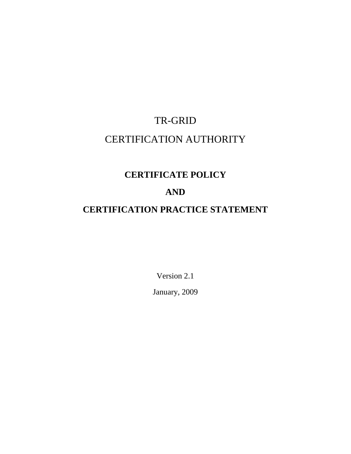# TR-GRID CERTIFICATION AUTHORITY

# **CERTIFICATE POLICY**

## **AND**

# **CERTIFICATION PRACTICE STATEMENT**

Version 2.1 January, 2009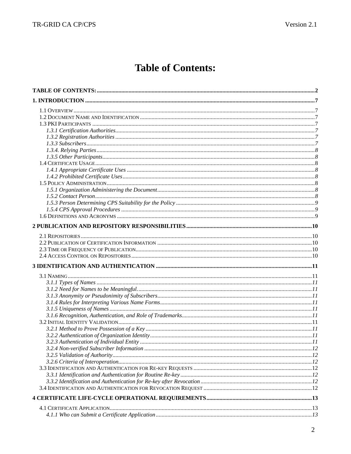# **Table of Contents:**

<span id="page-1-0"></span>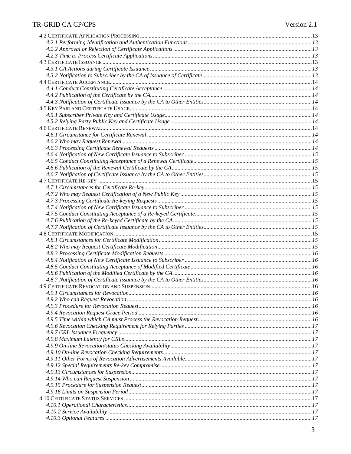#### TR-GRID CA CP/CPS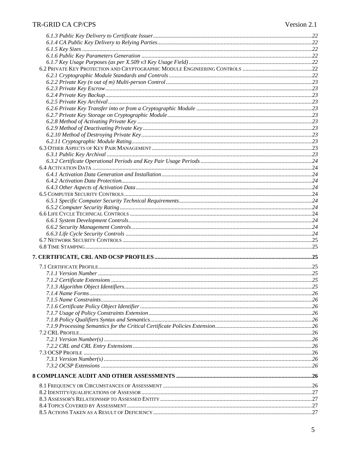| . 27 |
|------|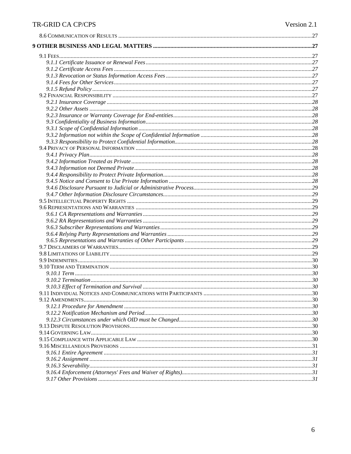## TR-GRID CA CP/CPS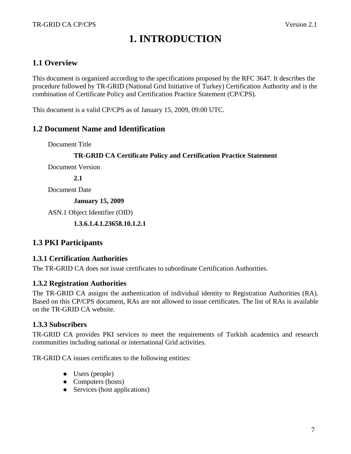# **1. INTRODUCTION**

#### <span id="page-6-0"></span>**1.1 Overview**

This document is organized according to the specifications proposed by the RFC 3647. It describes the procedure followed by TR-GRID (National Grid Initiative of Turkey) Certification Authority and is the combination of Certificate Policy and Certification Practice Statement (CP/CPS).

This document is a valid CP/CPS as of January 15, 2009, 09:00 UTC.

#### **1.2 Document Name and Identification**

Document Title

#### **TR-GRID CA Certificate Policy and Certification Practice Statement**

Document Version

**2.1** 

Document Date

**January 15, 2009** 

ASN.1 Object Identifier (OID)

 **1.3.6.1.4.1.23658.10.1.2.1** 

#### **1.3 PKI Participants**

#### **1.3.1 Certification Authorities**

The TR-GRID CA does not issue certificates to subordinate Certification Authorities.

#### **1.3.2 Registration Authorities**

The TR-GRID CA assigns the authentication of individual identity to Registration Authorities (RA). Based on this CP/CPS document, RAs are not allowed to issue certificates. The list of RAs is available on the TR-GRID CA website.

#### **1.3.3 Subscribers**

TR-GRID CA provides PKI services to meet the requirements of Turkish academics and research communities including national or international Grid activities.

TR-GRID CA issues certificates to the following entities:

- $\bullet$  Users (people)
- $\bullet$  Computers (hosts)
- $\bullet$  Services (host applications)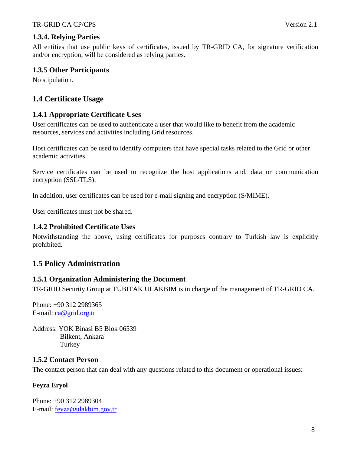#### <span id="page-7-0"></span>**1.3.4. Relying Parties**

All entities that use public keys of certificates, issued by TR-GRID CA, for signature verification and/or encryption, will be considered as relying parties.

#### **1.3.5 Other Participants**

No stipulation.

## **1.4 Certificate Usage**

#### **1.4.1 Appropriate Certificate Uses**

User certificates can be used to authenticate a user that would like to benefit from the academic resources, services and activities including Grid resources.

Host certificates can be used to identify computers that have special tasks related to the Grid or other academic activities.

Service certificates can be used to recognize the host applications and, data or communication encryption (SSL/TLS).

In addition, user certificates can be used for e-mail signing and encryption (S/MIME).

User certificates must not be shared.

#### **1.4.2 Prohibited Certificate Uses**

Notwithstanding the above, using certificates for purposes contrary to Turkish law is explicitly prohibited.

#### **1.5 Policy Administration**

#### **1.5.1 Organization Administering the Document**

TR-GRID Security Group at TUBITAK ULAKBIM is in charge of the management of TR-GRID CA.

Phone: +90 312 2989365 E-mail: [ca@grid.org.tr](mailto:asli@ulakbim.gov.tr)

Address: YOK Binasi B5 Blok 06539 Bilkent, Ankara **Turkey** 

#### **1.5.2 Contact Person**

The contact person that can deal with any questions related to this document or operational issues:

#### **Feyza Eryol**

Phone: +90 312 2989304 E-mail: [feyza@ulakbim.gov.tr](mailto:feyza@ulakbim.gov.tr)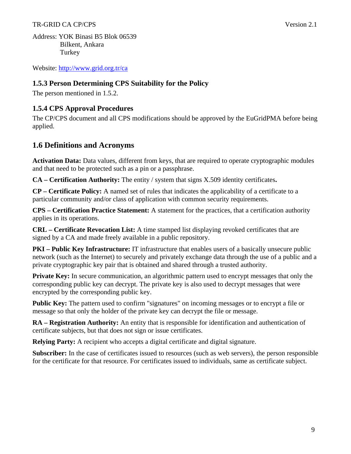#### <span id="page-8-0"></span>TR-GRID CA CP/CPS Version 2.1

Address: YOK Binasi B5 Blok 06539 Bilkent, Ankara Turkey

Website:<http://www.grid.org.tr/ca>

#### **1.5.3 Person Determining CPS Suitability for the Policy**

The person mentioned in 1.5.2.

#### **1.5.4 CPS Approval Procedures**

The CP/CPS document and all CPS modifications should be approved by the EuGridPMA before being applied.

#### **1.6 Definitions and Acronyms**

**Activation Data:** Data values, different from keys, that are required to operate cryptographic modules and that need to be protected such as a pin or a passphrase.

**CA – Certification Authority:** The entity / system that signs X.509 identity certificates**.** 

**CP – Certificate Policy:** A named set of rules that indicates the applicability of a certificate to a particular community and/or class of application with common security requirements.

**CPS – Certification Practice Statement:** A statement for the practices, that a certification authority applies in its operations.

**CRL – Certificate Revocation List:** A time stamped list displaying revoked certificates that are signed by a CA and made freely available in a public repository.

**PKI – Public Key Infrastructure:** IT infrastructure that enables users of a basically unsecure public network (such as the Internet) to securely and privately exchange data through the use of a public and a private cryptographic key pair that is obtained and shared through a trusted authority.

**Private Key:** In secure communication, an algorithmic pattern used to encrypt messages that only the corresponding public key can decrypt. The private key is also used to decrypt messages that were encrypted by the corresponding public key.

**Public Key:** The pattern used to confirm "signatures" on incoming messages or to encrypt a file or message so that only the holder of the private key can decrypt the file or message.

**RA – Registration Authority:** An entity that is responsible for identification and authentication of certificate subjects, but that does not sign or issue certificates.

**Relying Party:** A recipient who accepts a digital certificate and digital signature.

**Subscriber:** In the case of certificates issued to resources (such as web servers), the person responsible for the certificate for that resource. For certificates issued to individuals, same as certificate subject.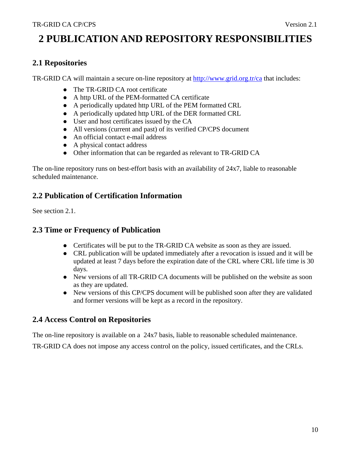# <span id="page-9-0"></span>**2 PUBLICATION AND REPOSITORY RESPONSIBILITIES**

#### **2.1 Repositories**

TR-GRID CA will maintain a secure on-line repository at<http://www.grid.org.tr/ca> that includes:

- The TR-GRID CA root certificate
- A http URL of the PEM-formatted CA certificate
- A periodically updated http URL of the PEM formatted CRL
- A periodically updated http URL of the DER formatted CRL
- User and host certificates issued by the CA
- All versions (current and past) of its verified CP/CPS document
- An official contact e-mail address
- A physical contact address
- Other information that can be regarded as relevant to TR-GRID CA

The on-line repository runs on best-effort basis with an availability of 24x7, liable to reasonable scheduled maintenance.

## **2.2 Publication of Certification Information**

See section 2.1.

## **2.3 Time or Frequency of Publication**

- Certificates will be put to the TR-GRID CA website as soon as they are issued.
- CRL publication will be updated immediately after a revocation is issued and it will be updated at least 7 days before the expiration date of the CRL where CRL life time is 30 days.
- New versions of all TR-GRID CA documents will be published on the website as soon as they are updated.
- New versions of this CP/CPS document will be published soon after they are validated and former versions will be kept as a record in the repository.

#### **2.4 Access Control on Repositories**

The on-line repository is available on a 24x7 basis, liable to reasonable scheduled maintenance.

TR-GRID CA does not impose any access control on the policy, issued certificates, and the CRLs.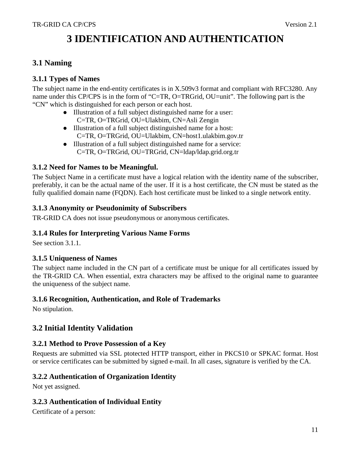# **3 IDENTIFICATION AND AUTHENTICATION**

## <span id="page-10-0"></span>**3.1 Naming**

#### **3.1.1 Types of Names**

The subject name in the end-entity certificates is in X.509v3 format and compliant with RFC3280. Any name under this CP/CPS is in the form of "C=TR, O=TRGrid, OU=unit". The following part is the "CN" which is distinguished for each person or each host.

- Illustration of a full subject distinguished name for a user: C=TR, O=TRGrid, OU=Ulakbim, CN=Asli Zengin
- Illustration of a full subject distinguished name for a host: C=TR, O=TRGrid, OU=Ulakbim, CN=host1.ulakbim.gov.tr
- Illustration of a full subject distinguished name for a service: C=TR, O=TRGrid, OU=TRGrid, CN=ldap/ldap.grid.org.tr

#### **3.1.2 Need for Names to be Meaningful.**

The Subject Name in a certificate must have a logical relation with the identity name of the subscriber, preferably, it can be the actual name of the user. If it is a host certificate, the CN must be stated as the fully qualified domain name (FQDN). Each host certificate must be linked to a single network entity.

#### **3.1.3 Anonymity or Pseudonimity of Subscribers**

TR-GRID CA does not issue pseudonymous or anonymous certificates.

#### **3.1.4 Rules for Interpreting Various Name Forms**

See section 3.1.1.

#### **3.1.5 Uniqueness of Names**

The subject name included in the CN part of a certificate must be unique for all certificates issued by the TR-GRID CA. When essential, extra characters may be affixed to the original name to guarantee the uniqueness of the subject name.

#### **3.1.6 Recognition, Authentication, and Role of Trademarks**

No stipulation.

#### **3.2 Initial Identity Validation**

#### **3.2.1 Method to Prove Possession of a Key**

Requests are submitted via SSL ptotected HTTP transport, either in PKCS10 or SPKAC format. Host or service certificates can be submitted by signed e-mail. In all cases, signature is verified by the CA.

#### **3.2.2 Authentication of Organization Identity**

Not yet assigned.

#### **3.2.3 Authentication of Individual Entity**

Certificate of a person: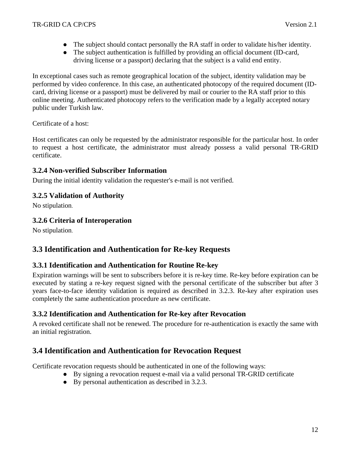- <span id="page-11-0"></span>• The subject should contact personally the RA staff in order to validate his/her identity.
- The subject authentication is fulfilled by providing an official document (ID-card, driving license or a passport) declaring that the subject is a valid end entity.

In exceptional cases such as remote geographical location of the subject, identity validation may be performed by video conference. In this case, an authenticated photocopy of the required document (IDcard, driving license or a passport) must be delivered by mail or courier to the RA staff prior to this online meeting. Authenticated photocopy refers to the verification made by a legally accepted notary public under Turkish law.

Certificate of a host:

Host certificates can only be requested by the administrator responsible for the particular host. In order to request a host certificate, the administrator must already possess a valid personal TR-GRID certificate.

#### **3.2.4 Non-verified Subscriber Information**

During the initial identity validation the requester's e-mail is not verified.

#### **3.2.5 Validation of Authority**

No stipulation.

#### **3.2.6 Criteria of Interoperation**

No stipulation.

## **3.3 Identification and Authentication for Re-key Requests**

#### **3.3.1 Identification and Authentication for Routine Re-key**

Expiration warnings will be sent to subscribers before it is re-key time. Re-key before expiration can be executed by stating a re-key request signed with the personal certificate of the subscriber but after 3 years face-to-face identity validation is required as described in 3.2.3. Re-key after expiration uses completely the same authentication procedure as new certificate.

#### **3.3.2 Identification and Authentication for Re-key after Revocation**

A revoked certificate shall not be renewed. The procedure for re-authentication is exactly the same with an initial registration.

## **3.4 Identification and Authentication for Revocation Request**

Certificate revocation requests should be authenticated in one of the following ways:

- By signing a revocation request e-mail via a valid personal TR-GRID certificate
- $\bullet$  By personal authentication as described in 3.2.3.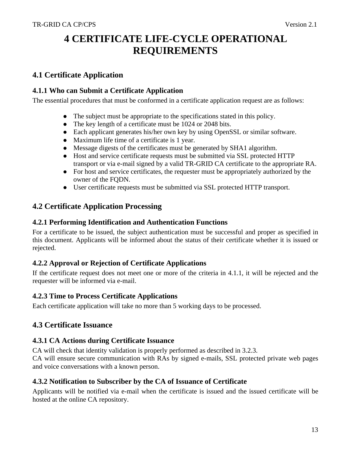# <span id="page-12-0"></span>**4 CERTIFICATE LIFE-CYCLE OPERATIONAL REQUIREMENTS**

## **4.1 Certificate Application**

#### **4.1.1 Who can Submit a Certificate Application**

The essential procedures that must be conformed in a certificate application request are as follows:

- The subject must be appropriate to the specifications stated in this policy.
- The key length of a certificate must be 1024 or 2048 bits.
- Each applicant generates his/her own key by using OpenSSL or similar software.
- Maximum life time of a certificate is 1 year.
- Message digests of the certificates must be generated by SHA1 algorithm.
- Host and service certificate requests must be submitted via SSL protected HTTP transport or via e-mail signed by a valid TR-GRID CA certificate to the appropriate RA.
- For host and service certificates, the requester must be appropriately authorized by the owner of the FODN.
- User certificate requests must be submitted via SSL protected HTTP transport.

## **4.2 Certificate Application Processing**

#### **4.2.1 Performing Identification and Authentication Functions**

For a certificate to be issued, the subject authentication must be successful and proper as specified in this document. Applicants will be informed about the status of their certificate whether it is issued or rejected.

#### **4.2.2 Approval or Rejection of Certificate Applications**

If the certificate request does not meet one or more of the criteria in 4.1.1, it will be rejected and the requester will be informed via e-mail.

#### **4.2.3 Time to Process Certificate Applications**

Each certificate application will take no more than 5 working days to be processed.

#### **4.3 Certificate Issuance**

#### **4.3.1 CA Actions during Certificate Issuance**

CA will check that identity validation is properly performed as described in 3.2.3.

CA will ensure secure communication with RAs by signed e-mails, SSL protected private web pages and voice conversations with a known person.

#### **4.3.2 Notification to Subscriber by the CA of Issuance of Certificate**

Applicants will be notified via e-mail when the certificate is issued and the issued certificate will be hosted at the online CA repository.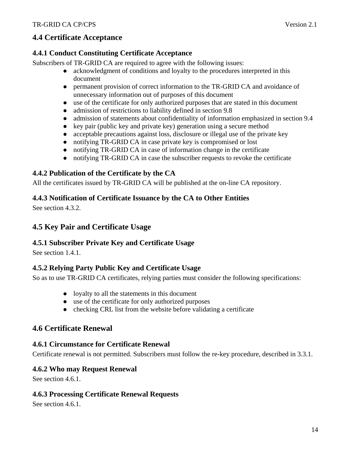## <span id="page-13-0"></span>**4.4 Certificate Acceptance**

#### **4.4.1 Conduct Constituting Certificate Acceptance**

Subscribers of TR-GRID CA are required to agree with the following issues:

- acknowledgment of conditions and loyalty to the procedures interpreted in this document
- permanent provision of correct information to the TR-GRID CA and avoidance of unnecessary information out of purposes of this document
- $\bullet$  use of the certificate for only authorized purposes that are stated in this document
- admission of restrictions to liability defined in section 9.8
- admission of statements about confidentiality of information emphasized in section 9.4
- $\bullet$  key pair (public key and private key) generation using a secure method
- $\bullet$  acceptable precautions against loss, disclosure or illegal use of the private key
- notifying TR-GRID CA in case private key is compromised or lost
- notifying TR-GRID CA in case of information change in the certificate
- notifying TR-GRID CA in case the subscriber requests to revoke the certificate

## **4.4.2 Publication of the Certificate by the CA**

All the certificates issued by TR-GRID CA will be published at the on-line CA repository.

#### **4.4.3 Notification of Certificate Issuance by the CA to Other Entities**

See section 4.3.2.

## **4.5 Key Pair and Certificate Usage**

#### **4.5.1 Subscriber Private Key and Certificate Usage**

See section 1.4.1.

#### **4.5.2 Relying Party Public Key and Certificate Usage**

So as to use TR-GRID CA certificates, relying parties must consider the following specifications:

- $\bullet$  loyalty to all the statements in this document
- $\bullet$  use of the certificate for only authorized purposes
- $\bullet$  checking CRL list from the website before validating a certificate

#### **4.6 Certificate Renewal**

#### **4.6.1 Circumstance for Certificate Renewal**

Certificate renewal is not permitted. Subscribers must follow the re-key procedure, described in 3.3.1.

#### **4.6.2 Who may Request Renewal**

See section 4.6.1.

#### **4.6.3 Processing Certificate Renewal Requests**

See section 4.6.1.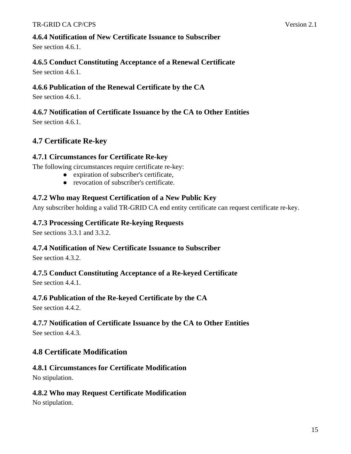<span id="page-14-0"></span>See section 4.6.1.

## **4.6.5 Conduct Constituting Acceptance of a Renewal Certificate**

See section 4.6.1.

## **4.6.6 Publication of the Renewal Certificate by the CA**

See section 4.6.1.

## **4.6.7 Notification of Certificate Issuance by the CA to Other Entities**

See section 4.6.1.

## **4.7 Certificate Re-key**

## **4.7.1 Circumstances for Certificate Re-key**

The following circumstances require certificate re-key:

- expiration of subscriber's certificate,
- revocation of subscriber's certificate.

## **4.7.2 Who may Request Certification of a New Public Key**

Any subscriber holding a valid TR-GRID CA end entity certificate can request certificate re-key.

## **4.7.3 Processing Certificate Re-keying Requests**

See sections 3.3.1 and 3.3.2.

## **4.7.4 Notification of New Certificate Issuance to Subscriber**

See section 4.3.2.

## **4.7.5 Conduct Constituting Acceptance of a Re-keyed Certificate**

See section 4.4.1.

## **4.7.6 Publication of the Re-keyed Certificate by the CA**

See section 4.4.2.

## **4.7.7 Notification of Certificate Issuance by the CA to Other Entities**

See section 4.4.3.

## **4.8 Certificate Modification**

# **4.8.1 Circumstances for Certificate Modification**

No stipulation.

## **4.8.2 Who may Request Certificate Modification**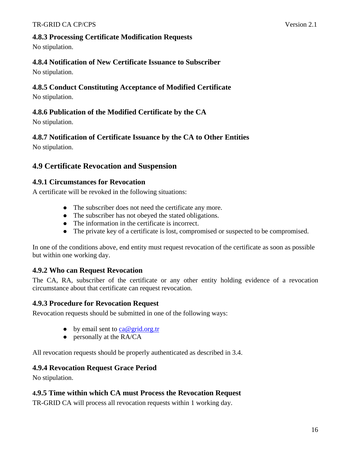#### <span id="page-15-0"></span>**4.8.3 Processing Certificate Modification Requests**

No stipulation.

## **4.8.4 Notification of New Certificate Issuance to Subscriber**

No stipulation.

#### **4.8.5 Conduct Constituting Acceptance of Modified Certificate**

No stipulation.

#### **4.8.6 Publication of the Modified Certificate by the CA**

No stipulation.

## **4.8.7 Notification of Certificate Issuance by the CA to Other Entities**

No stipulation.

## **4.9 Certificate Revocation and Suspension**

#### **4.9.1 Circumstances for Revocation**

A certificate will be revoked in the following situations:

- The subscriber does not need the certificate any more.
- The subscriber has not obeyed the stated obligations.
- The information in the certificate is incorrect.
- The private key of a certificate is lost, compromised or suspected to be compromised.

In one of the conditions above, end entity must request revocation of the certificate as soon as possible but within one working day.

## **4.9.2 Who can Request Revocation**

The CA, RA, subscriber of the certificate or any other entity holding evidence of a revocation circumstance about that certificate can request revocation.

#### **4.9.3 Procedure for Revocation Request**

Revocation requests should be submitted in one of the following ways:

- by email sent to  $ca@grid.org.tr$
- $\bullet$  personally at the RA/CA

All revocation requests should be properly authenticated as described in 3.4.

#### **4.9.4 Revocation Request Grace Period**

No stipulation.

## **4.9.5 Time within which CA must Process the Revocation Request**

TR-GRID CA will process all revocation requests within 1 working day.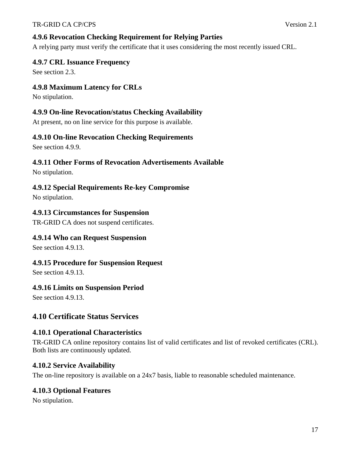#### <span id="page-16-0"></span>**4.9.6 Revocation Checking Requirement for Relying Parties**

A relying party must verify the certificate that it uses considering the most recently issued CRL.

#### **4.9.7 CRL Issuance Frequency**

See section 2.3.

#### **4.9.8 Maximum Latency for CRLs**

No stipulation.

#### **4.9.9 On-line Revocation/status Checking Availability**

At present, no on line service for this purpose is available.

#### **4.9.10 On-line Revocation Checking Requirements**

See section 4.9.9.

#### **4.9.11 Other Forms of Revocation Advertisements Available**

No stipulation.

#### **4.9.12 Special Requirements Re-key Compromise**

No stipulation.

#### **4.9.13 Circumstances for Suspension**

TR-GRID CA does not suspend certificates.

#### **4.9.14 Who can Request Suspension**

See section 4.9.13.

#### **4.9.15 Procedure for Suspension Request**

See section 4.9.13.

#### **4.9.16 Limits on Suspension Period**

See section 4.9.13.

#### **4.10 Certificate Status Services**

#### **4.10.1 Operational Characteristics**

TR-GRID CA online repository contains list of valid certificates and list of revoked certificates (CRL). Both lists are continuously updated.

#### **4.10.2 Service Availability**

The on-line repository is available on a 24x7 basis, liable to reasonable scheduled maintenance.

#### **4.10.3 Optional Features**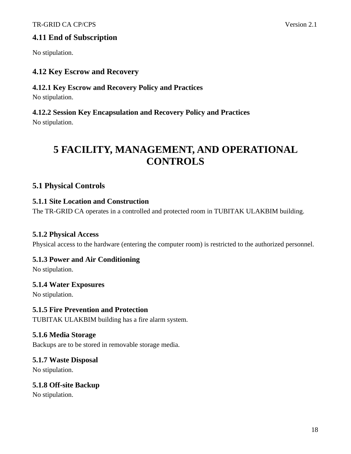#### <span id="page-17-0"></span>**4.11 End of Subscription**

No stipulation.

## **4.12 Key Escrow and Recovery**

#### **4.12.1 Key Escrow and Recovery Policy and Practices**

No stipulation.

# **4.12.2 Session Key Encapsulation and Recovery Policy and Practices**

No stipulation.

# **5 FACILITY, MANAGEMENT, AND OPERATIONAL CONTROLS**

## **5.1 Physical Controls**

#### **5.1.1 Site Location and Construction**

The TR-GRID CA operates in a controlled and protected room in TUBITAK ULAKBIM building.

#### **5.1.2 Physical Access**

Physical access to the hardware (entering the computer room) is restricted to the authorized personnel.

#### **5.1.3 Power and Air Conditioning**

No stipulation.

#### **5.1.4 Water Exposures**

No stipulation.

#### **5.1.5 Fire Prevention and Protection**

TUBITAK ULAKBIM building has a fire alarm system.

#### **5.1.6 Media Storage**

Backups are to be stored in removable storage media.

#### **5.1.7 Waste Disposal**

No stipulation.

#### **5.1.8 Off-site Backup**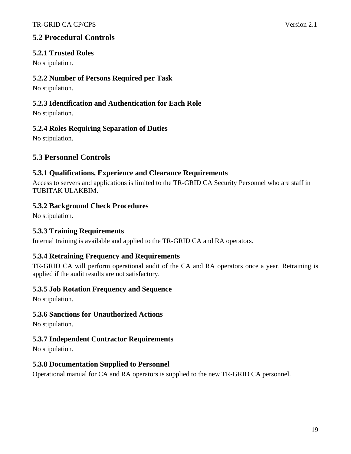## <span id="page-18-0"></span>**5.2 Procedural Controls**

#### **5.2.1 Trusted Roles**

No stipulation.

#### **5.2.2 Number of Persons Required per Task**

No stipulation.

#### **5.2.3 Identification and Authentication for Each Role**

No stipulation.

#### **5.2.4 Roles Requiring Separation of Duties**

No stipulation.

## **5.3 Personnel Controls**

#### **5.3.1 Qualifications, Experience and Clearance Requirements**

Access to servers and applications is limited to the TR-GRID CA Security Personnel who are staff in TUBITAK ULAKBIM.

#### **5.3.2 Background Check Procedures**

No stipulation.

#### **5.3.3 Training Requirements**

Internal training is available and applied to the TR-GRID CA and RA operators.

#### **5.3.4 Retraining Frequency and Requirements**

TR-GRID CA will perform operational audit of the CA and RA operators once a year. Retraining is applied if the audit results are not satisfactory.

#### **5.3.5 Job Rotation Frequency and Sequence**

No stipulation.

#### **5.3.6 Sanctions for Unauthorized Actions**

No stipulation.

#### **5.3.7 Independent Contractor Requirements**

No stipulation.

#### **5.3.8 Documentation Supplied to Personnel**

Operational manual for CA and RA operators is supplied to the new TR-GRID CA personnel.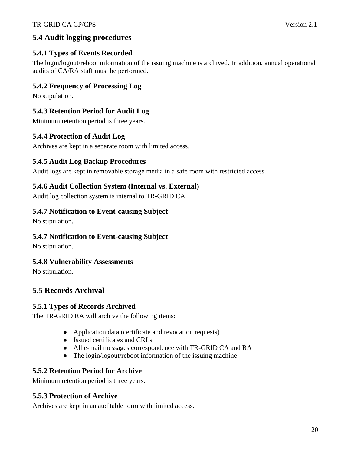## <span id="page-19-0"></span>**5.4 Audit logging procedures**

## **5.4.1 Types of Events Recorded**

The login/logout/reboot information of the issuing machine is archived. In addition, annual operational audits of CA/RA staff must be performed.

## **5.4.2 Frequency of Processing Log**

No stipulation.

## **5.4.3 Retention Period for Audit Log**

Minimum retention period is three years.

## **5.4.4 Protection of Audit Log**

Archives are kept in a separate room with limited access.

#### **5.4.5 Audit Log Backup Procedures**

Audit logs are kept in removable storage media in a safe room with restricted access.

#### **5.4.6 Audit Collection System (Internal vs. External)**

Audit log collection system is internal to TR-GRID CA.

#### **5.4.7 Notification to Event-causing Subject**

No stipulation.

#### **5.4.7 Notification to Event-causing Subject**

No stipulation.

#### **5.4.8 Vulnerability Assessments**

No stipulation.

## **5.5 Records Archival**

#### **5.5.1 Types of Records Archived**

The TR-GRID RA will archive the following items:

- Application data (certificate and revocation requests)
- Issued certificates and CRLs
- All e-mail messages correspondence with TR-GRID CA and RA
- The login/logout/reboot information of the issuing machine

#### **5.5.2 Retention Period for Archive**

Minimum retention period is three years.

#### **5.5.3 Protection of Archive**

Archives are kept in an auditable form with limited access.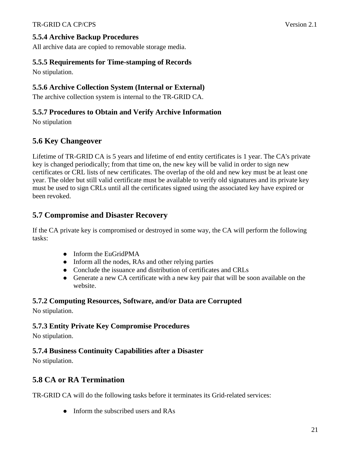<span id="page-20-0"></span>All archive data are copied to removable storage media.

## **5.5.5 Requirements for Time-stamping of Records**

No stipulation.

## **5.5.6 Archive Collection System (Internal or External)**

The archive collection system is internal to the TR-GRID CA.

## **5.5.7 Procedures to Obtain and Verify Archive Information**

No stipulation

## **5.6 Key Changeover**

Lifetime of TR-GRID CA is 5 years and lifetime of end entity certificates is 1 year. The CA's private key is changed periodically; from that time on, the new key will be valid in order to sign new certificates or CRL lists of new certificates. The overlap of the old and new key must be at least one year. The older but still valid certificate must be available to verify old signatures and its private key must be used to sign CRLs until all the certificates signed using the associated key have expired or been revoked.

## **5.7 Compromise and Disaster Recovery**

If the CA private key is compromised or destroyed in some way, the CA will perform the following tasks:

- $\bullet$  Inform the EuGridPMA
- $\bullet$  Inform all the nodes, RAs and other relying parties
- Conclude the issuance and distribution of certificates and CRLs
- Generate a new CA certificate with a new key pair that will be soon available on the website.

## **5.7.2 Computing Resources, Software, and/or Data are Corrupted**

No stipulation.

## **5.7.3 Entity Private Key Compromise Procedures**

No stipulation.

## **5.7.4 Business Continuity Capabilities after a Disaster**

No stipulation.

## **5.8 CA or RA Termination**

TR-GRID CA will do the following tasks before it terminates its Grid-related services:

• Inform the subscribed users and  $RAs$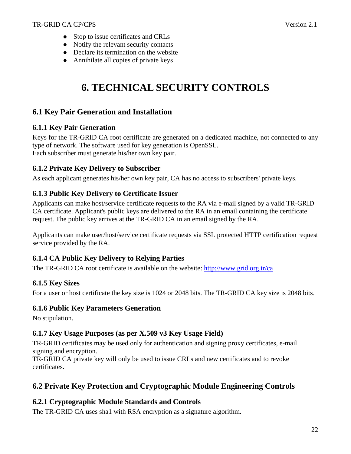- <span id="page-21-0"></span>• Stop to issue certificates and CRLs
- Notify the relevant security contacts
- Declare its termination on the website
- Annihilate all copies of private keys

# **6. TECHNICAL SECURITY CONTROLS**

## **6.1 Key Pair Generation and Installation**

#### **6.1.1 Key Pair Generation**

Keys for the TR-GRID CA root certificate are generated on a dedicated machine, not connected to any type of network. The software used for key generation is OpenSSL. Each subscriber must generate his/her own key pair.

#### **6.1.2 Private Key Delivery to Subscriber**

As each applicant generates his/her own key pair, CA has no access to subscribers' private keys.

#### **6.1.3 Public Key Delivery to Certificate Issuer**

Applicants can make host/service certificate requests to the RA via e-mail signed by a valid TR-GRID CA certificate. Applicant's public keys are delivered to the RA in an email containing the certificate request. The public key arrives at the TR-GRID CA in an email signed by the RA.

Applicants can make user/host/service certificate requests via SSL protected HTTP certification request service provided by the RA.

#### **6.1.4 CA Public Key Delivery to Relying Parties**

The TR-GRID CA root certificate is available on the website:<http://www.grid.org.tr/ca>

#### **6.1.5 Key Sizes**

For a user or host certificate the key size is 1024 or 2048 bits. The TR-GRID CA key size is 2048 bits.

#### **6.1.6 Public Key Parameters Generation**

No stipulation.

#### **6.1.7 Key Usage Purposes (as per X.509 v3 Key Usage Field)**

TR-GRID certificates may be used only for authentication and signing proxy certificates, e-mail signing and encryption.

TR-GRID CA private key will only be used to issue CRLs and new certificates and to revoke certificates.

## **6.2 Private Key Protection and Cryptographic Module Engineering Controls**

#### **6.2.1 Cryptographic Module Standards and Controls**

The TR-GRID CA uses sha1 with RSA encryption as a signature algorithm.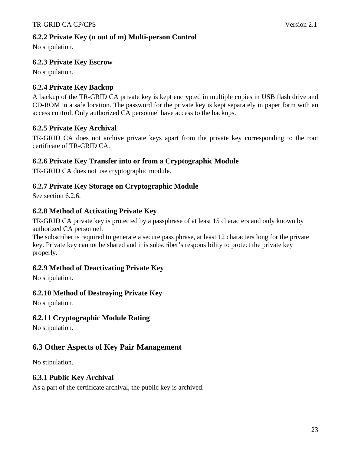<span id="page-22-0"></span>No stipulation.

## **6.2.3 Private Key Escrow**

No stipulation.

## **6.2.4 Private Key Backup**

A backup of the TR-GRID CA private key is kept encrypted in multiple copies in USB flash drive and CD-ROM in a safe location. The password for the private key is kept separately in paper form with an access control. Only authorized CA personnel have access to the backups.

## **6.2.5 Private Key Archival**

TR-GRID CA does not archive private keys apart from the private key corresponding to the root certificate of TR-GRID CA.

#### **6.2.6 Private Key Transfer into or from a Cryptographic Module**

TR-GRID CA does not use cryptographic module.

## **6.2.7 Private Key Storage on Cryptographic Module**

See section 6.2.6.

## **6.2.8 Method of Activating Private Key**

TR-GRID CA private key is protected by a passphrase of at least 15 characters and only known by authorized CA personnel.

The subscriber is required to generate a secure pass phrase, at least 12 characters long for the private key. Private key cannot be shared and it is subscriber's responsibility to protect the private key properly.

#### **6.2.9 Method of Deactivating Private Key**

No stipulation.

#### **6.2.10 Method of Destroying Private Key**

No stipulation.

#### **6.2.11 Cryptographic Module Rating**

No stipulation.

## **6.3 Other Aspects of Key Pair Management**

No stipulation.

#### **6.3.1 Public Key Archival**

As a part of the certificate archival, the public key is archived.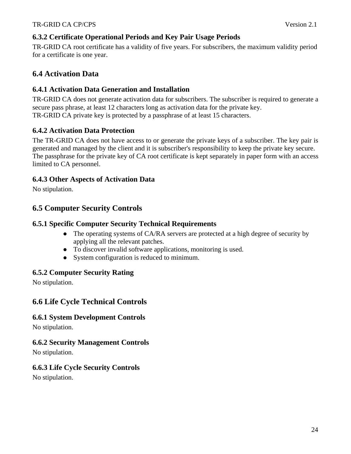#### <span id="page-23-0"></span>**6.3.2 Certificate Operational Periods and Key Pair Usage Periods**

TR-GRID CA root certificate has a validity of five years. For subscribers, the maximum validity period for a certificate is one year.

## **6.4 Activation Data**

#### **6.4.1 Activation Data Generation and Installation**

TR-GRID CA does not generate activation data for subscribers. The subscriber is required to generate a secure pass phrase, at least 12 characters long as activation data for the private key. TR-GRID CA private key is protected by a passphrase of at least 15 characters.

#### **6.4.2 Activation Data Protection**

The TR-GRID CA does not have access to or generate the private keys of a subscriber. The key pair is generated and managed by the client and it is subscriber's responsibility to keep the private key secure. The passphrase for the private key of CA root certificate is kept separately in paper form with an access limited to CA personnel.

#### **6.4.3 Other Aspects of Activation Data**

No stipulation.

## **6.5 Computer Security Controls**

#### **6.5.1 Specific Computer Security Technical Requirements**

- The operating systems of CA/RA servers are protected at a high degree of security by applying all the relevant patches.
- To discover invalid software applications, monitoring is used.
- System configuration is reduced to minimum.

#### **6.5.2 Computer Security Rating**

No stipulation.

#### **6.6 Life Cycle Technical Controls**

#### **6.6.1 System Development Controls**

No stipulation.

#### **6.6.2 Security Management Controls**

No stipulation.

#### **6.6.3 Life Cycle Security Controls**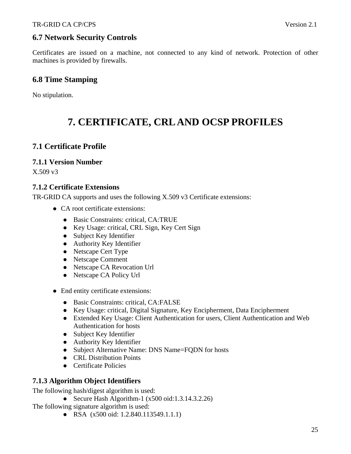## <span id="page-24-0"></span>**6.7 Network Security Controls**

Certificates are issued on a machine, not connected to any kind of network. Protection of other machines is provided by firewalls.

## **6.8 Time Stamping**

No stipulation.

# **7. CERTIFICATE, CRL AND OCSP PROFILES**

## **7.1 Certificate Profile**

#### **7.1.1 Version Number**

X.509 v3

#### **7.1.2 Certificate Extensions**

TR-GRID CA supports and uses the following X.509 v3 Certificate extensions:

- CA root certificate extensions:
	- Basic Constraints: critical, CA:TRUE
	- Key Usage: critical, CRL Sign, Key Cert Sign
	- Subject Key Identifier
	- Authority Key Identifier
	- Netscape Cert Type
	- Netscape Comment
	- Netscape CA Revocation Url
	- Netscape CA Policy Url
- End entity certificate extensions:
	- Basic Constraints: critical, CA:FALSE
	- Key Usage: critical, Digital Signature, Key Encipherment, Data Encipherment
	- Extended Key Usage: Client Authentication for users, Client Authentication and Web Authentication for hosts
	- $\bullet$  Subject Key Identifier
	- Authority Key Identifier
	- Subject Alternative Name: DNS Name=FQDN for hosts
	- CRL Distribution Points
	- Certificate Policies

#### **7.1.3 Algorithm Object Identifiers**

The following hash/digest algorithm is used:

• Secure Hash Algorithm-1  $(x500 \text{ oid}: 1.3.14.3.2.26)$ 

The following signature algorithm is used:

• RSA (x500 oid: 1.2.840.113549.1.1.1)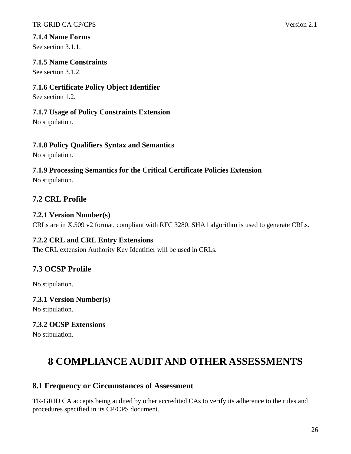#### <span id="page-25-0"></span>**7.1.4 Name Forms**

See section 3.1.1.

#### **7.1.5 Name Constraints**

See section 3.1.2.

#### **7.1.6 Certificate Policy Object Identifier**

See section 1.2.

#### **7.1.7 Usage of Policy Constraints Extension**

No stipulation.

## **7.1.8 Policy Qualifiers Syntax and Semantics**

No stipulation.

## **7.1.9 Processing Semantics for the Critical Certificate Policies Extension**

No stipulation.

## **7.2 CRL Profile**

#### **7.2.1 Version Number(s)**

CRLs are in X.509 v2 format, compliant with RFC 3280. SHA1 algorithm is used to generate CRLs.

#### **7.2.2 CRL and CRL Entry Extensions**

The CRL extension Authority Key Identifier will be used in CRLs.

## **7.3 OCSP Profile**

No stipulation.

#### **7.3.1 Version Number(s)**

No stipulation.

## **7.3.2 OCSP Extensions**

No stipulation.

# **8 COMPLIANCE AUDIT AND OTHER ASSESSMENTS**

## **8.1 Frequency or Circumstances of Assessment**

TR-GRID CA accepts being audited by other accredited CAs to verify its adherence to the rules and procedures specified in its CP/CPS document.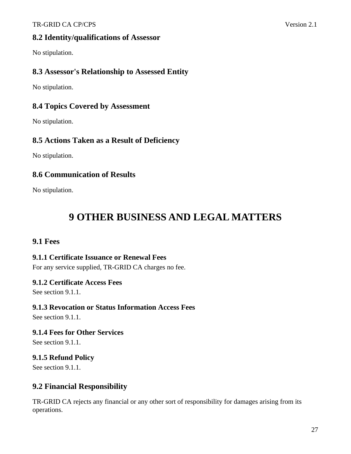#### <span id="page-26-0"></span>TR-GRID CA CP/CPS Version 2.1

#### **8.2 Identity/qualifications of Assessor**

No stipulation.

#### **8.3 Assessor's Relationship to Assessed Entity**

No stipulation.

#### **8.4 Topics Covered by Assessment**

No stipulation.

#### **8.5 Actions Taken as a Result of Deficiency**

No stipulation.

#### **8.6 Communication of Results**

No stipulation.

# **9 OTHER BUSINESS AND LEGAL MATTERS**

#### **9.1 Fees**

#### **9.1.1 Certificate Issuance or Renewal Fees**

For any service supplied, TR-GRID CA charges no fee.

#### **9.1.2 Certificate Access Fees**

See section 9.1.1.

#### **9.1.3 Revocation or Status Information Access Fees**

See section 9.1.1.

**9.1.4 Fees for Other Services** 

See section 9.1.1.

#### **9.1.5 Refund Policy**

See section 9.1.1.

#### **9.2 Financial Responsibility**

TR-GRID CA rejects any financial or any other sort of responsibility for damages arising from its operations.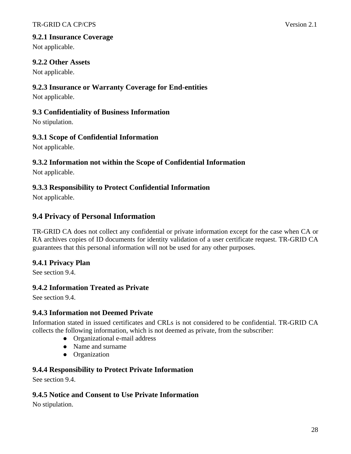<span id="page-27-0"></span>Not applicable.

#### **9.2.2 Other Assets**

Not applicable.

## **9.2.3 Insurance or Warranty Coverage for End-entities**

Not applicable.

#### **9.3 Confidentiality of Business Information**

No stipulation.

## **9.3.1 Scope of Confidential Information**

Not applicable.

## **9.3.2 Information not within the Scope of Confidential Information**

Not applicable.

## **9.3.3 Responsibility to Protect Confidential Information**

Not applicable.

## **9.4 Privacy of Personal Information**

TR-GRID CA does not collect any confidential or private information except for the case when CA or RA archives copies of ID documents for identity validation of a user certificate request. TR-GRID CA guarantees that this personal information will not be used for any other purposes.

## **9.4.1 Privacy Plan**

See section 9.4.

## **9.4.2 Information Treated as Private**

See section 9.4.

#### **9.4.3 Information not Deemed Private**

Information stated in issued certificates and CRLs is not considered to be confidential. TR-GRID CA collects the following information, which is not deemed as private, from the subscriber:

- Organizational e-mail address
- Name and surname
- Organization

## **9.4.4 Responsibility to Protect Private Information**

See section 9.4.

## **9.4.5 Notice and Consent to Use Private Information**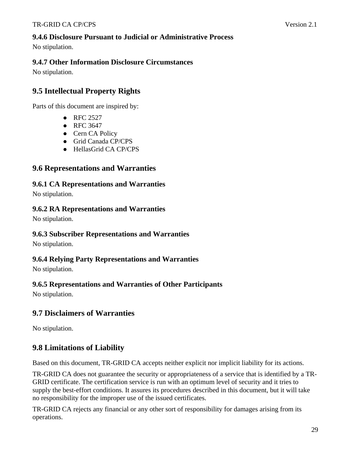#### <span id="page-28-0"></span>**9.4.6 Disclosure Pursuant to Judicial or Administrative Process**

No stipulation.

#### **9.4.7 Other Information Disclosure Circumstances**

No stipulation.

## **9.5 Intellectual Property Rights**

Parts of this document are inspired by:

- $\bullet$  RFC 2527
- $\bullet$  RFC 3647
- Cern CA Policy
- Grid Canada CP/CPS
- HellasGrid CA CP/CPS

#### **9.6 Representations and Warranties**

**9.6.1 CA Representations and Warranties** 

No stipulation.

#### **9.6.2 RA Representations and Warranties**

No stipulation.

#### **9.6.3 Subscriber Representations and Warranties**

No stipulation.

#### **9.6.4 Relying Party Representations and Warranties**

No stipulation.

#### **9.6.5 Representations and Warranties of Other Participants**

No stipulation.

#### **9.7 Disclaimers of Warranties**

No stipulation.

## **9.8 Limitations of Liability**

Based on this document, TR-GRID CA accepts neither explicit nor implicit liability for its actions.

TR-GRID CA does not guarantee the security or appropriateness of a service that is identified by a TR-GRID certificate. The certification service is run with an optimum level of security and it tries to supply the best-effort conditions. It assures its procedures described in this document, but it will take no responsibility for the improper use of the issued certificates.

TR-GRID CA rejects any financial or any other sort of responsibility for damages arising from its operations.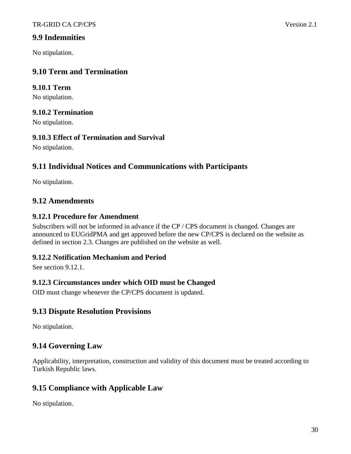#### <span id="page-29-0"></span>**9.9 Indemnities**

No stipulation.

## **9.10 Term and Termination**

#### **9.10.1 Term**

No stipulation.

#### **9.10.2 Termination**

No stipulation.

#### **9.10.3 Effect of Termination and Survival**

No stipulation.

## **9.11 Individual Notices and Communications with Participants**

No stipulation.

## **9.12 Amendments**

#### **9.12.1 Procedure for Amendment**

Subscribers will not be informed in advance if the CP / CPS document is changed. Changes are announced to EUGridPMA and get approved before the new CP/CPS is declared on the website as defined in section 2.3. Changes are published on the website as well.

#### **9.12.2 Notification Mechanism and Period**

See section 9.12.1.

#### **9.12.3 Circumstances under which OID must be Changed**

OID must change whenever the CP/CPS document is updated.

#### **9.13 Dispute Resolution Provisions**

No stipulation.

## **9.14 Governing Law**

Applicability, interpretation, construction and validity of this document must be treated according to Turkish Republic laws.

## **9.15 Compliance with Applicable Law**